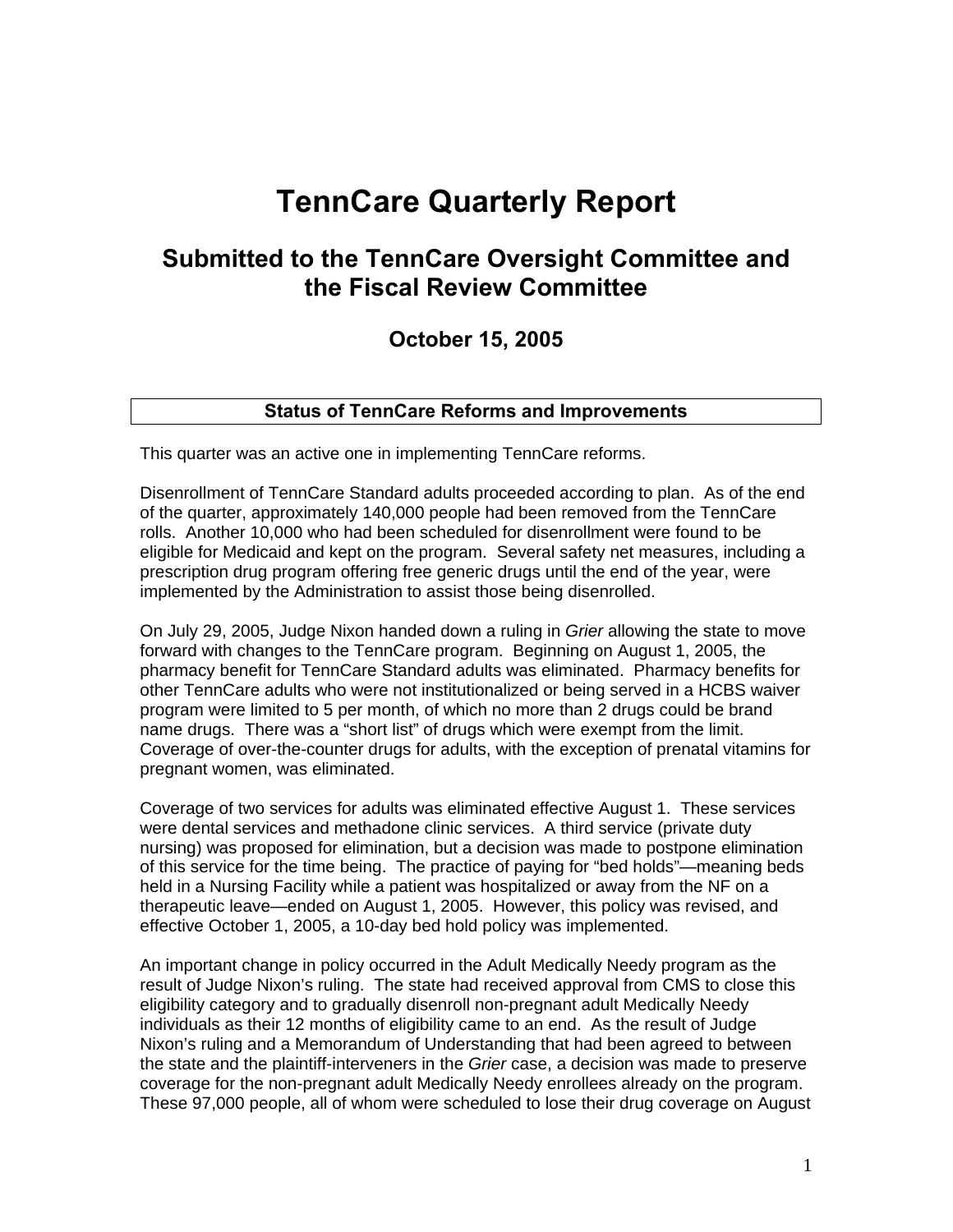# **TennCare Quarterly Report**

## **Submitted to the TennCare Oversight Committee and the Fiscal Review Committee**

## **October 15, 2005**

## **Status of TennCare Reforms and Improvements**

This quarter was an active one in implementing TennCare reforms.

Disenrollment of TennCare Standard adults proceeded according to plan. As of the end of the quarter, approximately 140,000 people had been removed from the TennCare rolls. Another 10,000 who had been scheduled for disenrollment were found to be eligible for Medicaid and kept on the program. Several safety net measures, including a prescription drug program offering free generic drugs until the end of the year, were implemented by the Administration to assist those being disenrolled.

On July 29, 2005, Judge Nixon handed down a ruling in *Grier* allowing the state to move forward with changes to the TennCare program. Beginning on August 1, 2005, the pharmacy benefit for TennCare Standard adults was eliminated. Pharmacy benefits for other TennCare adults who were not institutionalized or being served in a HCBS waiver program were limited to 5 per month, of which no more than 2 drugs could be brand name drugs. There was a "short list" of drugs which were exempt from the limit. Coverage of over-the-counter drugs for adults, with the exception of prenatal vitamins for pregnant women, was eliminated.

Coverage of two services for adults was eliminated effective August 1. These services were dental services and methadone clinic services. A third service (private duty nursing) was proposed for elimination, but a decision was made to postpone elimination of this service for the time being. The practice of paying for "bed holds"—meaning beds held in a Nursing Facility while a patient was hospitalized or away from the NF on a therapeutic leave—ended on August 1, 2005. However, this policy was revised, and effective October 1, 2005, a 10-day bed hold policy was implemented.

An important change in policy occurred in the Adult Medically Needy program as the result of Judge Nixon's ruling. The state had received approval from CMS to close this eligibility category and to gradually disenroll non-pregnant adult Medically Needy individuals as their 12 months of eligibility came to an end. As the result of Judge Nixon's ruling and a Memorandum of Understanding that had been agreed to between the state and the plaintiff-interveners in the *Grier* case, a decision was made to preserve coverage for the non-pregnant adult Medically Needy enrollees already on the program. These 97,000 people, all of whom were scheduled to lose their drug coverage on August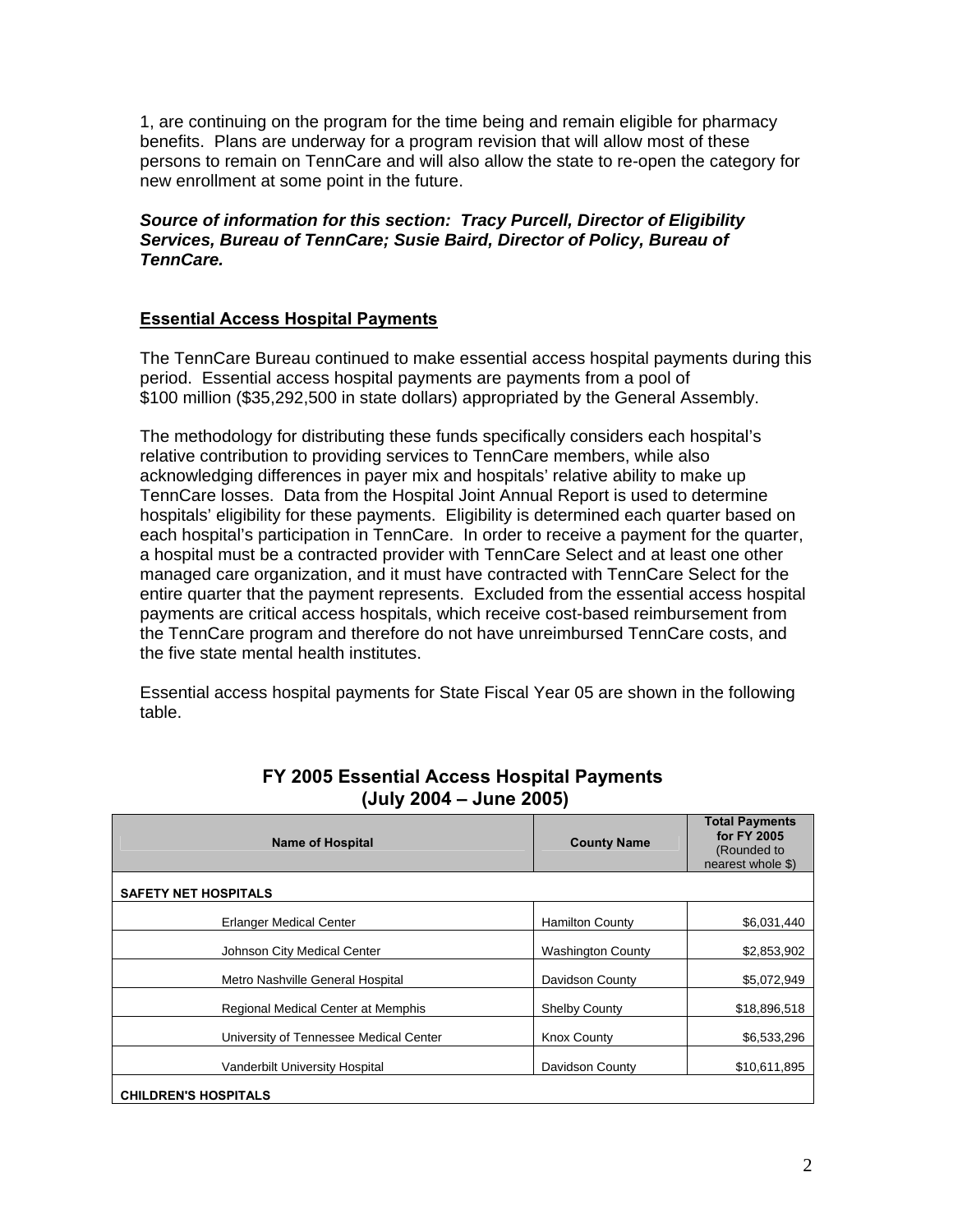1, are continuing on the program for the time being and remain eligible for pharmacy benefits. Plans are underway for a program revision that will allow most of these persons to remain on TennCare and will also allow the state to re-open the category for new enrollment at some point in the future.

*Source of information for this section: Tracy Purcell, Director of Eligibility Services, Bureau of TennCare; Susie Baird, Director of Policy, Bureau of TennCare.* 

## **Essential Access Hospital Payments**

 The TennCare Bureau continued to make essential access hospital payments during this period. Essential access hospital payments are payments from a pool of \$100 million (\$35,292,500 in state dollars) appropriated by the General Assembly.

The methodology for distributing these funds specifically considers each hospital's relative contribution to providing services to TennCare members, while also acknowledging differences in payer mix and hospitals' relative ability to make up TennCare losses. Data from the Hospital Joint Annual Report is used to determine hospitals' eligibility for these payments. Eligibility is determined each quarter based on each hospital's participation in TennCare. In order to receive a payment for the quarter, a hospital must be a contracted provider with TennCare Select and at least one other managed care organization, and it must have contracted with TennCare Select for the entire quarter that the payment represents. Excluded from the essential access hospital payments are critical access hospitals, which receive cost-based reimbursement from the TennCare program and therefore do not have unreimbursed TennCare costs, and the five state mental health institutes.

Essential access hospital payments for State Fiscal Year 05 are shown in the following table.

| <b>Name of Hospital</b>                | <b>County Name</b>       | <b>Total Payments</b><br>for FY 2005<br>(Rounded to<br>nearest whole \$) |
|----------------------------------------|--------------------------|--------------------------------------------------------------------------|
| <b>SAFETY NET HOSPITALS</b>            |                          |                                                                          |
| <b>Erlanger Medical Center</b>         | <b>Hamilton County</b>   | \$6,031,440                                                              |
| Johnson City Medical Center            | <b>Washington County</b> | \$2,853,902                                                              |
| Metro Nashville General Hospital       | Davidson County          | \$5,072,949                                                              |
| Regional Medical Center at Memphis     | <b>Shelby County</b>     | \$18,896,518                                                             |
| University of Tennessee Medical Center | <b>Knox County</b>       | \$6,533,296                                                              |
| Vanderbilt University Hospital         | Davidson County          | \$10,611,895                                                             |
| <b>CHILDREN'S HOSPITALS</b>            |                          |                                                                          |

## **FY 2005 Essential Access Hospital Payments (July 2004 – June 2005)**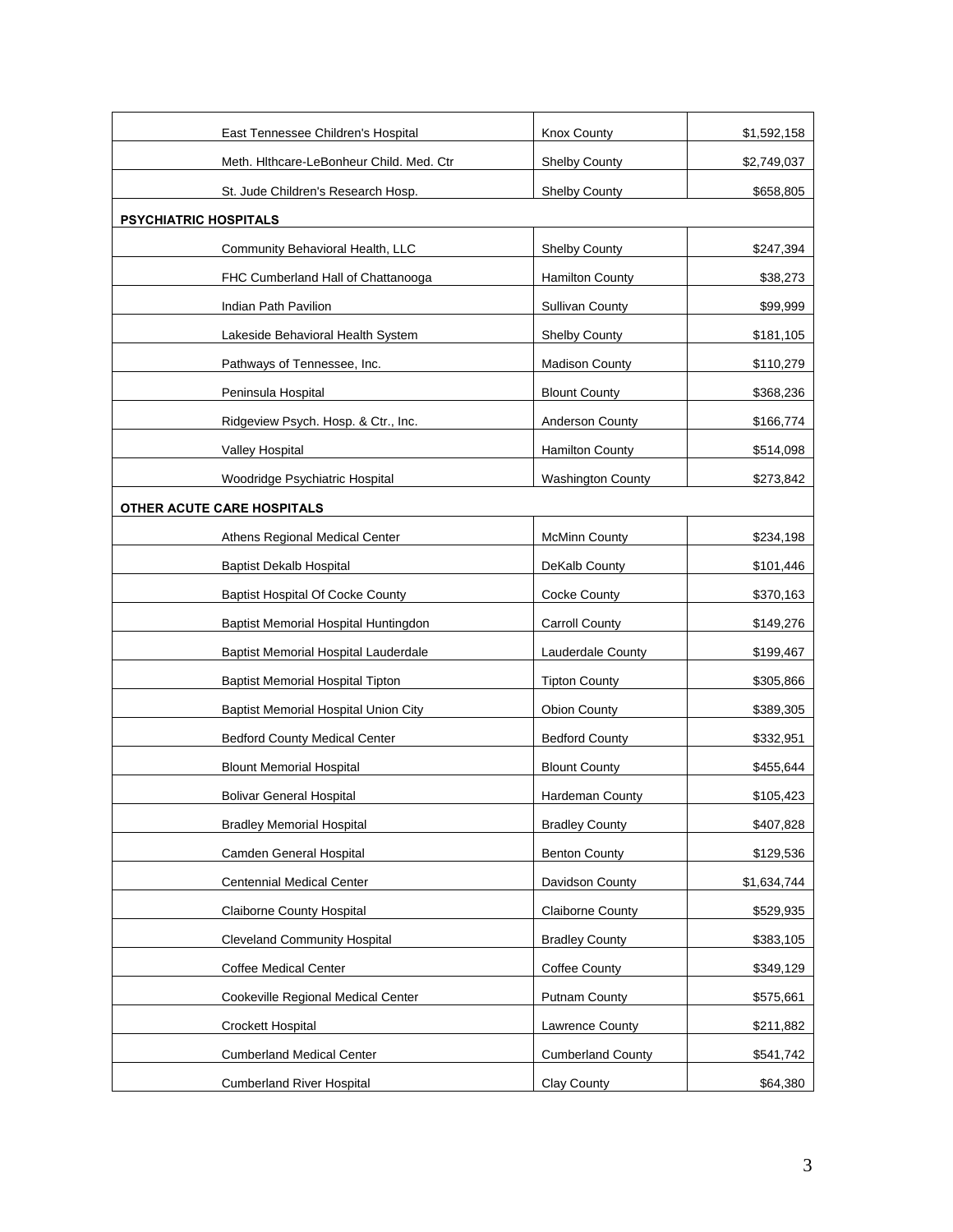| East Tennessee Children's Hospital       | Knox County              | \$1,592,158 |
|------------------------------------------|--------------------------|-------------|
| Meth. Hithcare-LeBonheur Child. Med. Ctr | <b>Shelby County</b>     | \$2,749,037 |
| St. Jude Children's Research Hosp.       | Shelby County            | \$658,805   |
| <b>PSYCHIATRIC HOSPITALS</b>             |                          |             |
| Community Behavioral Health, LLC         | Shelby County            | \$247,394   |
| FHC Cumberland Hall of Chattanooga       | Hamilton County          | \$38,273    |
| Indian Path Pavilion                     | <b>Sullivan County</b>   | \$99,999    |
| Lakeside Behavioral Health System        | <b>Shelby County</b>     | \$181,105   |
| Pathways of Tennessee, Inc.              | <b>Madison County</b>    | \$110,279   |
| Peninsula Hospital                       | <b>Blount County</b>     | \$368,236   |
| Ridgeview Psych. Hosp. & Ctr., Inc.      | Anderson County          | \$166,774   |
| Valley Hospital                          | <b>Hamilton County</b>   | \$514,098   |
| Woodridge Psychiatric Hospital           | <b>Washington County</b> | \$273,842   |
| OTHER ACUTE CARE HOSPITALS               |                          |             |
| Athens Regional Medical Center           | <b>McMinn County</b>     | \$234,198   |
| <b>Baptist Dekalb Hospital</b>           | DeKalb County            | \$101,446   |
| <b>Baptist Hospital Of Cocke County</b>  | Cocke County             | \$370,163   |
| Baptist Memorial Hospital Huntingdon     | <b>Carroll County</b>    | \$149,276   |
| Baptist Memorial Hospital Lauderdale     | Lauderdale County        | \$199,467   |
| <b>Baptist Memorial Hospital Tipton</b>  | <b>Tipton County</b>     | \$305,866   |
| Baptist Memorial Hospital Union City     | <b>Obion County</b>      | \$389,305   |
| <b>Bedford County Medical Center</b>     | <b>Bedford County</b>    | \$332,951   |
| <b>Blount Memorial Hospital</b>          | <b>Blount County</b>     | \$455,644   |
| <b>Bolivar General Hospital</b>          | Hardeman County          | \$105,423   |
| <b>Bradley Memorial Hospital</b>         | <b>Bradley County</b>    | \$407,828   |
| Camden General Hospital                  | <b>Benton County</b>     | \$129,536   |
| <b>Centennial Medical Center</b>         | Davidson County          | \$1,634,744 |
| Claiborne County Hospital                | Claiborne County         | \$529,935   |
| <b>Cleveland Community Hospital</b>      | <b>Bradley County</b>    | \$383,105   |
| Coffee Medical Center                    | Coffee County            | \$349,129   |
| Cookeville Regional Medical Center       | Putnam County            | \$575,661   |
| <b>Crockett Hospital</b>                 | Lawrence County          | \$211,882   |
| <b>Cumberland Medical Center</b>         | <b>Cumberland County</b> | \$541,742   |
| <b>Cumberland River Hospital</b>         | Clay County              | \$64,380    |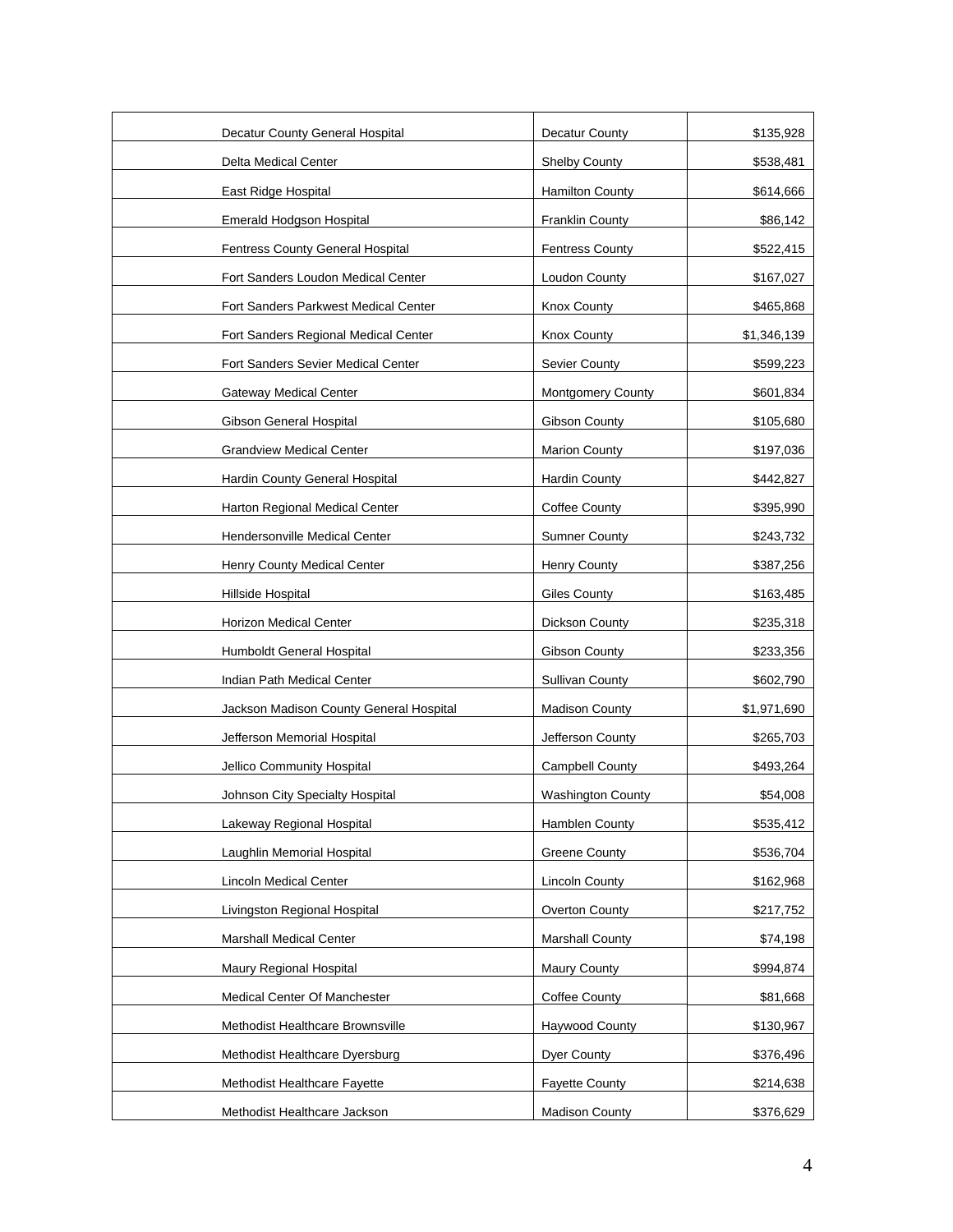| Decatur County General Hospital         | Decatur County           | \$135,928   |
|-----------------------------------------|--------------------------|-------------|
| Delta Medical Center                    | Shelby County            | \$538,481   |
| East Ridge Hospital                     | <b>Hamilton County</b>   | \$614,666   |
| Emerald Hodgson Hospital                | <b>Franklin County</b>   | \$86,142    |
| <b>Fentress County General Hospital</b> | <b>Fentress County</b>   | \$522,415   |
| Fort Sanders Loudon Medical Center      | Loudon County            | \$167,027   |
| Fort Sanders Parkwest Medical Center    | Knox County              | \$465,868   |
| Fort Sanders Regional Medical Center    | Knox County              | \$1,346,139 |
| Fort Sanders Sevier Medical Center      | Sevier County            | \$599,223   |
| <b>Gateway Medical Center</b>           | <b>Montgomery County</b> | \$601,834   |
| Gibson General Hospital                 | Gibson County            | \$105,680   |
| <b>Grandview Medical Center</b>         | <b>Marion County</b>     | \$197,036   |
| Hardin County General Hospital          | <b>Hardin County</b>     | \$442,827   |
| Harton Regional Medical Center          | <b>Coffee County</b>     | \$395,990   |
| <b>Hendersonville Medical Center</b>    | <b>Sumner County</b>     | \$243,732   |
| Henry County Medical Center             | Henry County             | \$387,256   |
| Hillside Hospital                       | <b>Giles County</b>      | \$163,485   |
| Horizon Medical Center                  | Dickson County           | \$235,318   |
| Humboldt General Hospital               | Gibson County            | \$233,356   |
| Indian Path Medical Center              | <b>Sullivan County</b>   | \$602,790   |
| Jackson Madison County General Hospital | <b>Madison County</b>    | \$1,971,690 |
| Jefferson Memorial Hospital             | Jefferson County         | \$265,703   |
| Jellico Community Hospital              | Campbell County          | \$493,264   |
| Johnson City Specialty Hospital         | <b>Washington County</b> | \$54,008    |
| Lakeway Regional Hospital               | Hamblen County           | \$535,412   |
| Laughlin Memorial Hospital              | <b>Greene County</b>     | \$536,704   |
| <b>Lincoln Medical Center</b>           | Lincoln County           | \$162,968   |
| Livingston Regional Hospital            | Overton County           | \$217,752   |
| <b>Marshall Medical Center</b>          | <b>Marshall County</b>   | \$74,198    |
| Maury Regional Hospital                 | Maury County             | \$994,874   |
| Medical Center Of Manchester            | <b>Coffee County</b>     | \$81,668    |
| Methodist Healthcare Brownsville        | Haywood County           | \$130,967   |
| Methodist Healthcare Dyersburg          | <b>Dyer County</b>       | \$376,496   |
| Methodist Healthcare Fayette            | <b>Fayette County</b>    | \$214,638   |
| Methodist Healthcare Jackson            | <b>Madison County</b>    | \$376,629   |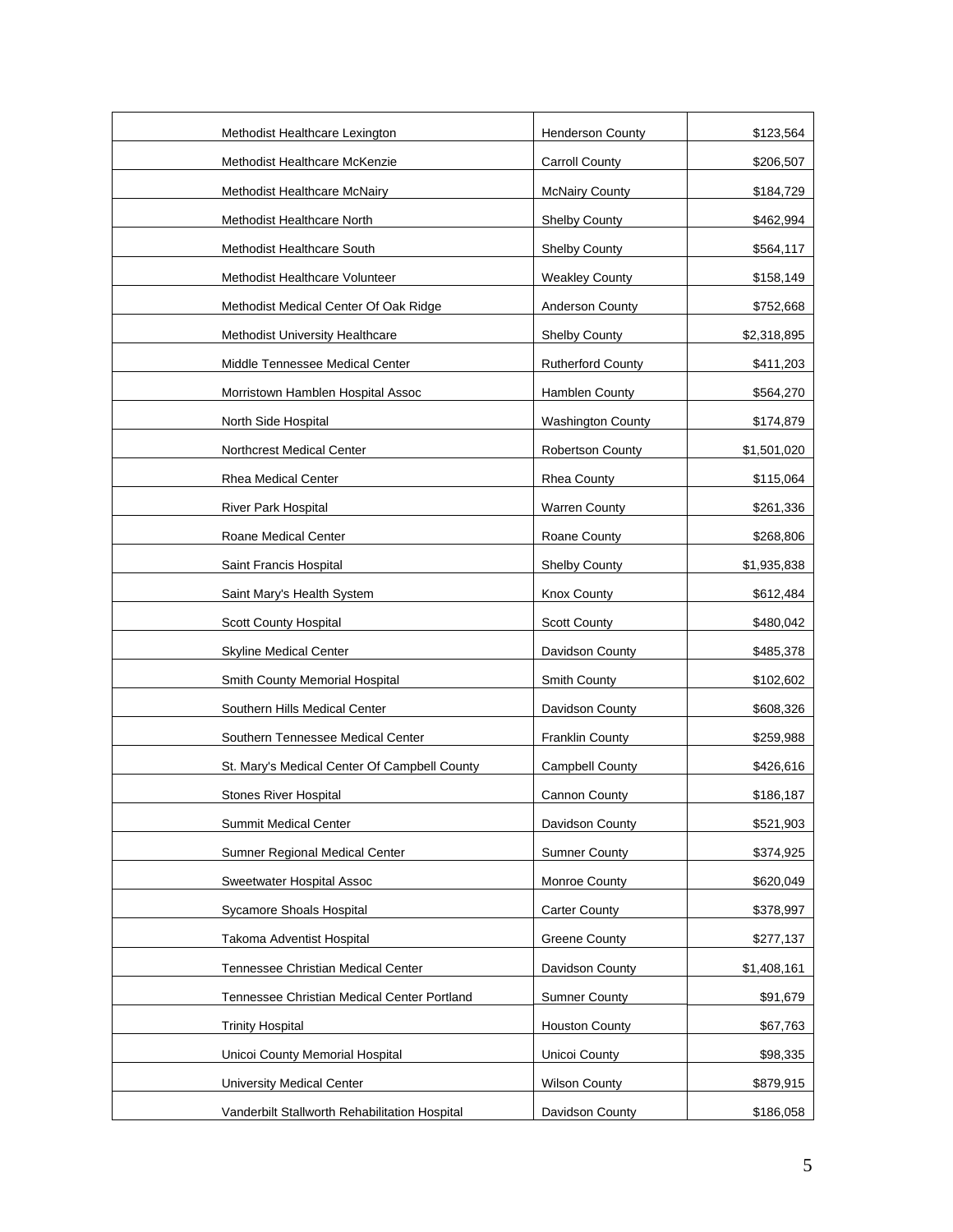| Methodist Healthcare Lexington                | <b>Henderson County</b>  | \$123,564   |
|-----------------------------------------------|--------------------------|-------------|
| Methodist Healthcare McKenzie                 | <b>Carroll County</b>    | \$206,507   |
| Methodist Healthcare McNairy                  | <b>McNairy County</b>    | \$184,729   |
| Methodist Healthcare North                    | <b>Shelby County</b>     | \$462,994   |
| Methodist Healthcare South                    | Shelby County            | \$564,117   |
| Methodist Healthcare Volunteer                | <b>Weakley County</b>    | \$158,149   |
| Methodist Medical Center Of Oak Ridge         | Anderson County          | \$752,668   |
| Methodist University Healthcare               | Shelby County            | \$2,318,895 |
| Middle Tennessee Medical Center               | <b>Rutherford County</b> | \$411,203   |
| Morristown Hamblen Hospital Assoc             | Hamblen County           | \$564,270   |
| North Side Hospital                           | <b>Washington County</b> | \$174,879   |
| <b>Northcrest Medical Center</b>              | <b>Robertson County</b>  | \$1,501,020 |
| Rhea Medical Center                           | <b>Rhea County</b>       | \$115,064   |
| <b>River Park Hospital</b>                    | <b>Warren County</b>     | \$261,336   |
| Roane Medical Center                          | Roane County             | \$268,806   |
| Saint Francis Hospital                        | <b>Shelby County</b>     | \$1,935,838 |
| Saint Mary's Health System                    | <b>Knox County</b>       | \$612,484   |
| <b>Scott County Hospital</b>                  | <b>Scott County</b>      | \$480,042   |
| Skyline Medical Center                        | Davidson County          | \$485,378   |
| Smith County Memorial Hospital                | Smith County             | \$102,602   |
| Southern Hills Medical Center                 | Davidson County          | \$608,326   |
| Southern Tennessee Medical Center             | <b>Franklin County</b>   | \$259,988   |
| St. Mary's Medical Center Of Campbell County  | <b>Campbell County</b>   | \$426,616   |
| <b>Stones River Hospital</b>                  | Cannon County            | \$186,187   |
| <b>Summit Medical Center</b>                  | Davidson County          | \$521,903   |
| Sumner Regional Medical Center                | <b>Sumner County</b>     | \$374,925   |
| <b>Sweetwater Hospital Assoc</b>              | Monroe County            | \$620,049   |
| Sycamore Shoals Hospital                      | <b>Carter County</b>     | \$378,997   |
| Takoma Adventist Hospital                     | <b>Greene County</b>     | \$277,137   |
| Tennessee Christian Medical Center            | Davidson County          | \$1,408,161 |
| Tennessee Christian Medical Center Portland   | <b>Sumner County</b>     | \$91,679    |
| <b>Trinity Hospital</b>                       | <b>Houston County</b>    | \$67,763    |
| Unicoi County Memorial Hospital               | Unicoi County            | \$98,335    |
| <b>University Medical Center</b>              | <b>Wilson County</b>     | \$879,915   |
| Vanderbilt Stallworth Rehabilitation Hospital | Davidson County          | \$186,058   |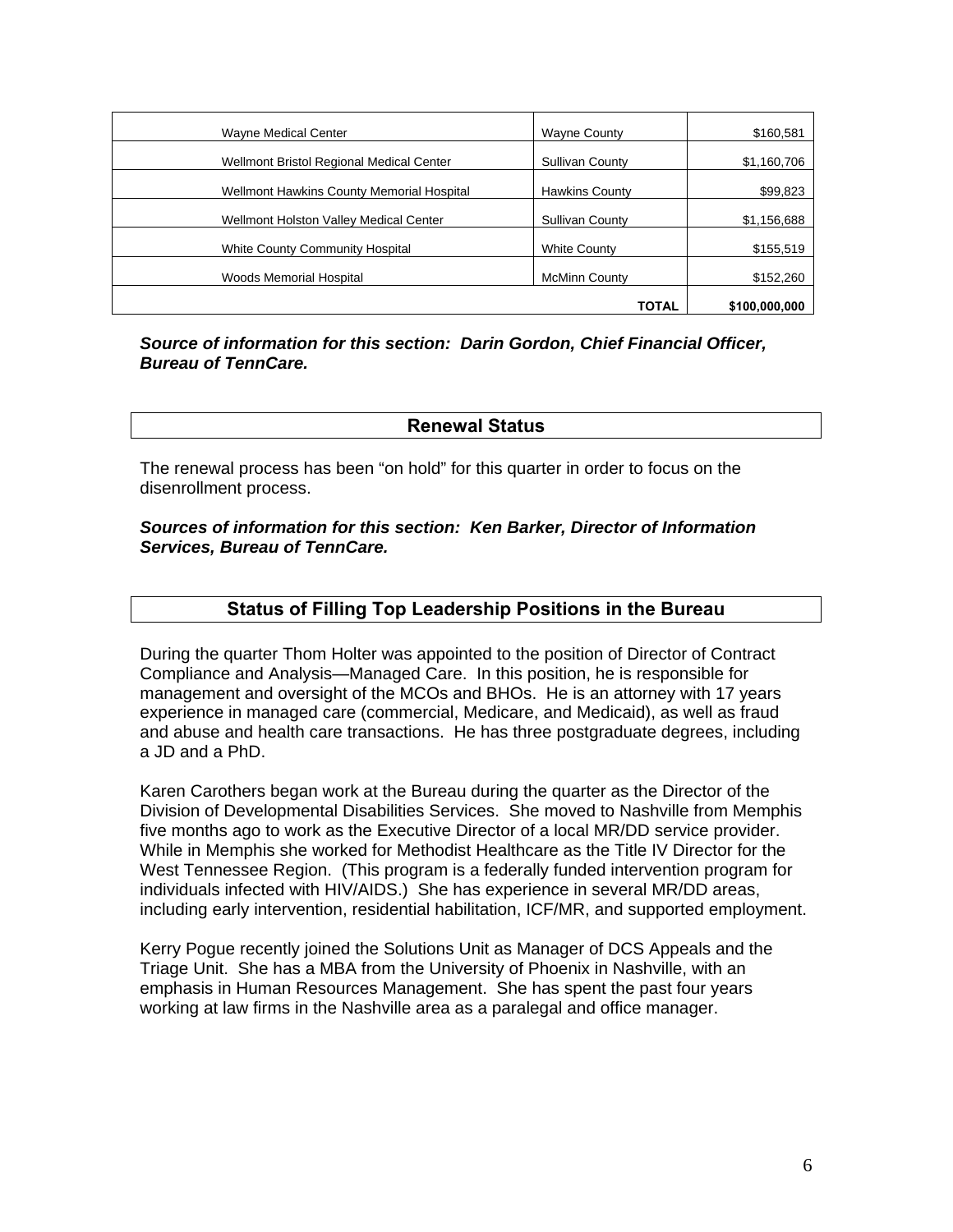| <b>Wayne Medical Center</b>               | <b>Wayne County</b>    | \$160,581     |
|-------------------------------------------|------------------------|---------------|
| Wellmont Bristol Regional Medical Center  | <b>Sullivan County</b> | \$1,160,706   |
| Wellmont Hawkins County Memorial Hospital | <b>Hawkins County</b>  | \$99,823      |
| Wellmont Holston Valley Medical Center    | <b>Sullivan County</b> | \$1,156,688   |
| <b>White County Community Hospital</b>    | <b>White County</b>    | \$155,519     |
| <b>Woods Memorial Hospital</b>            | <b>McMinn County</b>   | \$152,260     |
|                                           | TOTAL                  | \$100,000,000 |

#### *Source of information for this section: Darin Gordon, Chief Financial Officer, Bureau of TennCare.*

## **Renewal Status**

The renewal process has been "on hold" for this quarter in order to focus on the disenrollment process.

#### *Sources of information for this section: Ken Barker, Director of Information Services, Bureau of TennCare.*

## **Status of Filling Top Leadership Positions in the Bureau**

During the quarter Thom Holter was appointed to the position of Director of Contract Compliance and Analysis—Managed Care. In this position, he is responsible for management and oversight of the MCOs and BHOs. He is an attorney with 17 years experience in managed care (commercial, Medicare, and Medicaid), as well as fraud and abuse and health care transactions. He has three postgraduate degrees, including a JD and a PhD.

Karen Carothers began work at the Bureau during the quarter as the Director of the Division of Developmental Disabilities Services. She moved to Nashville from Memphis five months ago to work as the Executive Director of a local MR/DD service provider. While in Memphis she worked for Methodist Healthcare as the Title IV Director for the West Tennessee Region. (This program is a federally funded intervention program for individuals infected with HIV/AIDS.) She has experience in several MR/DD areas, including early intervention, residential habilitation, ICF/MR, and supported employment.

Kerry Pogue recently joined the Solutions Unit as Manager of DCS Appeals and the Triage Unit. She has a MBA from the University of Phoenix in Nashville, with an emphasis in Human Resources Management. She has spent the past four years working at law firms in the Nashville area as a paralegal and office manager.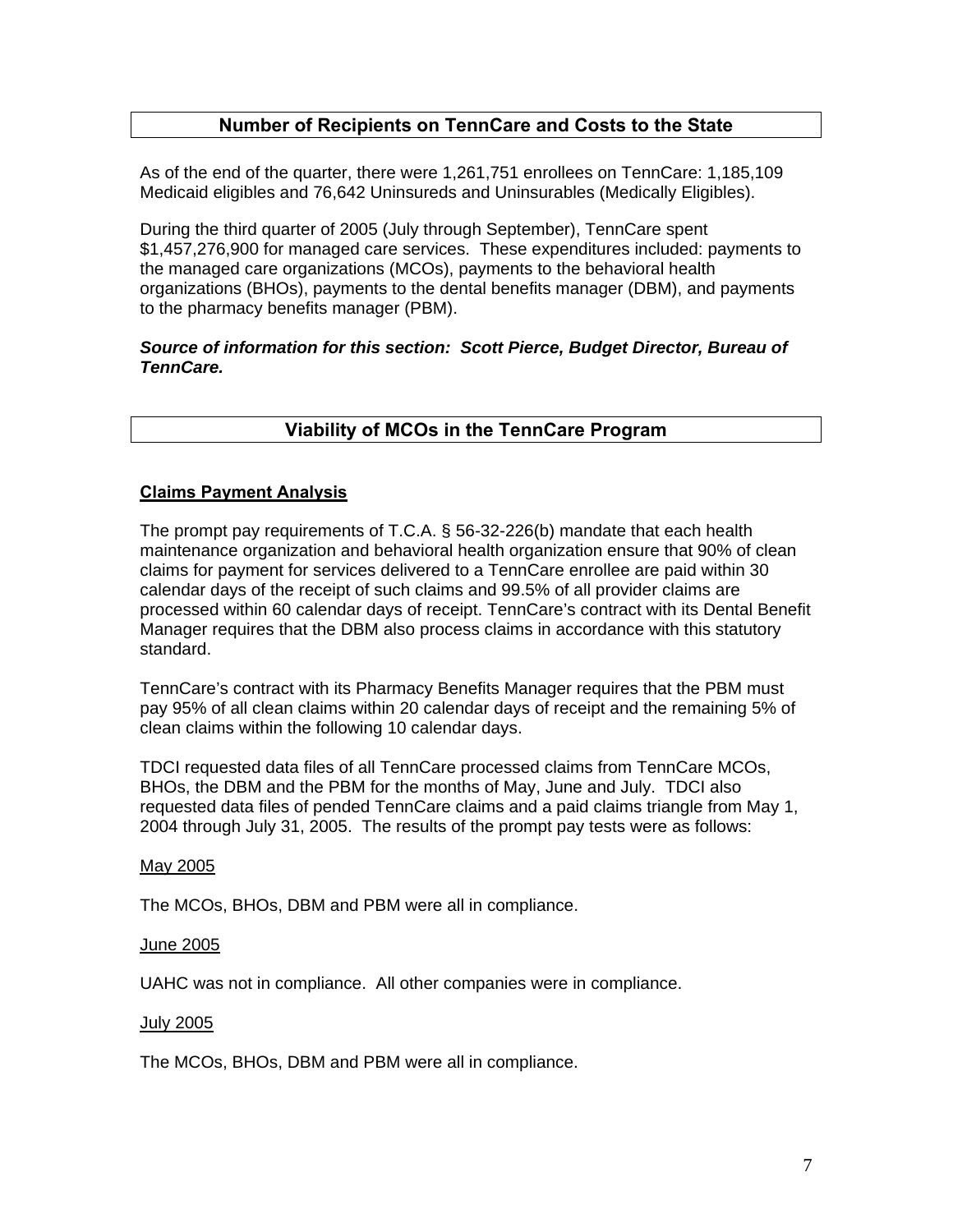## **Number of Recipients on TennCare and Costs to the State**

As of the end of the quarter, there were 1,261,751 enrollees on TennCare: 1,185,109 Medicaid eligibles and 76,642 Uninsureds and Uninsurables (Medically Eligibles).

During the third quarter of 2005 (July through September), TennCare spent \$1,457,276,900 for managed care services. These expenditures included: payments to the managed care organizations (MCOs), payments to the behavioral health organizations (BHOs), payments to the dental benefits manager (DBM), and payments to the pharmacy benefits manager (PBM).

## *Source of information for this section: Scott Pierce, Budget Director, Bureau of TennCare.*

## **Viability of MCOs in the TennCare Program**

#### **Claims Payment Analysis**

The prompt pay requirements of T.C.A. § 56-32-226(b) mandate that each health maintenance organization and behavioral health organization ensure that 90% of clean claims for payment for services delivered to a TennCare enrollee are paid within 30 calendar days of the receipt of such claims and 99.5% of all provider claims are processed within 60 calendar days of receipt. TennCare's contract with its Dental Benefit Manager requires that the DBM also process claims in accordance with this statutory standard.

TennCare's contract with its Pharmacy Benefits Manager requires that the PBM must pay 95% of all clean claims within 20 calendar days of receipt and the remaining 5% of clean claims within the following 10 calendar days.

TDCI requested data files of all TennCare processed claims from TennCare MCOs, BHOs, the DBM and the PBM for the months of May, June and July. TDCI also requested data files of pended TennCare claims and a paid claims triangle from May 1, 2004 through July 31, 2005. The results of the prompt pay tests were as follows:

#### May 2005

The MCOs, BHOs, DBM and PBM were all in compliance.

#### June 2005

UAHC was not in compliance. All other companies were in compliance.

#### July 2005

The MCOs, BHOs, DBM and PBM were all in compliance.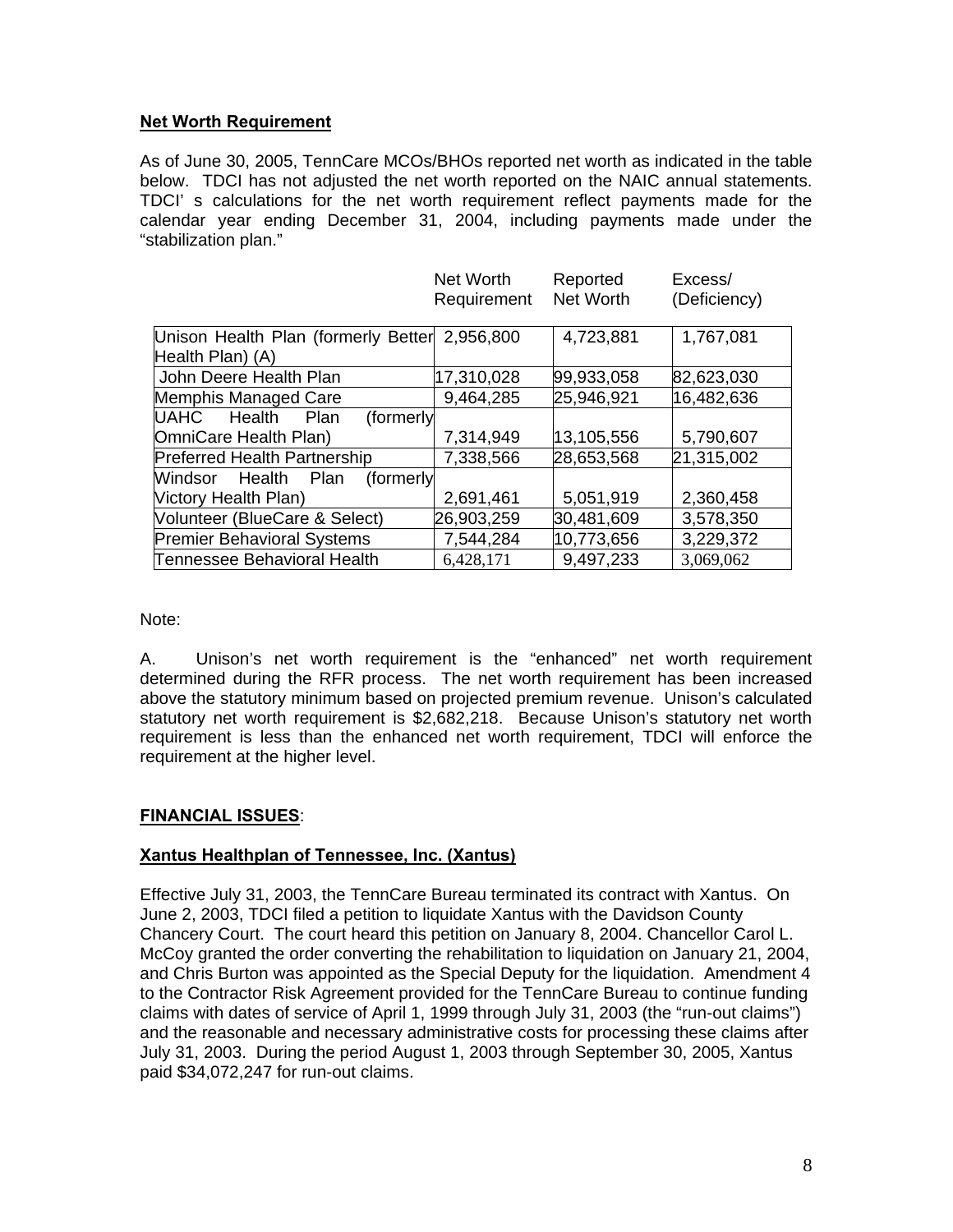## **Net Worth Requirement**

As of June 30, 2005, TennCare MCOs/BHOs reported net worth as indicated in the table below. TDCI has not adjusted the net worth reported on the NAIC annual statements. TDCI' s calculations for the net worth requirement reflect payments made for the calendar year ending December 31, 2004, including payments made under the "stabilization plan."

|                                               | Net Worth   | Reported   | Excess/      |
|-----------------------------------------------|-------------|------------|--------------|
|                                               | Requirement | Net Worth  | (Deficiency) |
|                                               |             |            |              |
| Unison Health Plan (formerly Better 2,956,800 |             | 4,723,881  | 1,767,081    |
| Health Plan) (A)                              |             |            |              |
| John Deere Health Plan                        | 17,310,028  | 99,933,058 | 82,623,030   |
| Memphis Managed Care                          | 9,464,285   | 25,946,921 | 16,482,636   |
| Health<br>UAHC<br>Plan<br>(formerly           |             |            |              |
| OmniCare Health Plan)                         | 7,314,949   | 13,105,556 | 5,790,607    |
| <b>Preferred Health Partnership</b>           | 7,338,566   | 28,653,568 | 21,315,002   |
| Health<br>(formerly<br>Windsor<br>Plan        |             |            |              |
| Victory Health Plan)                          | 2,691,461   | 5,051,919  | 2,360,458    |
| Volunteer (BlueCare & Select)                 | 26,903,259  | 30,481,609 | 3,578,350    |
| <b>Premier Behavioral Systems</b>             | 7,544,284   | 10,773,656 | 3,229,372    |
| Tennessee Behavioral Health                   | 6,428,171   | 9,497,233  | 3,069,062    |

Note:

A. Unison's net worth requirement is the "enhanced" net worth requirement determined during the RFR process. The net worth requirement has been increased above the statutory minimum based on projected premium revenue. Unison's calculated statutory net worth requirement is \$2,682,218. Because Unison's statutory net worth requirement is less than the enhanced net worth requirement, TDCI will enforce the requirement at the higher level.

## **FINANCIAL ISSUES**:

## **Xantus Healthplan of Tennessee, Inc. (Xantus)**

Effective July 31, 2003, the TennCare Bureau terminated its contract with Xantus. On June 2, 2003, TDCI filed a petition to liquidate Xantus with the Davidson County Chancery Court. The court heard this petition on January 8, 2004. Chancellor Carol L. McCoy granted the order converting the rehabilitation to liquidation on January 21, 2004, and Chris Burton was appointed as the Special Deputy for the liquidation. Amendment 4 to the Contractor Risk Agreement provided for the TennCare Bureau to continue funding claims with dates of service of April 1, 1999 through July 31, 2003 (the "run-out claims") and the reasonable and necessary administrative costs for processing these claims after July 31, 2003. During the period August 1, 2003 through September 30, 2005, Xantus paid \$34,072,247 for run-out claims.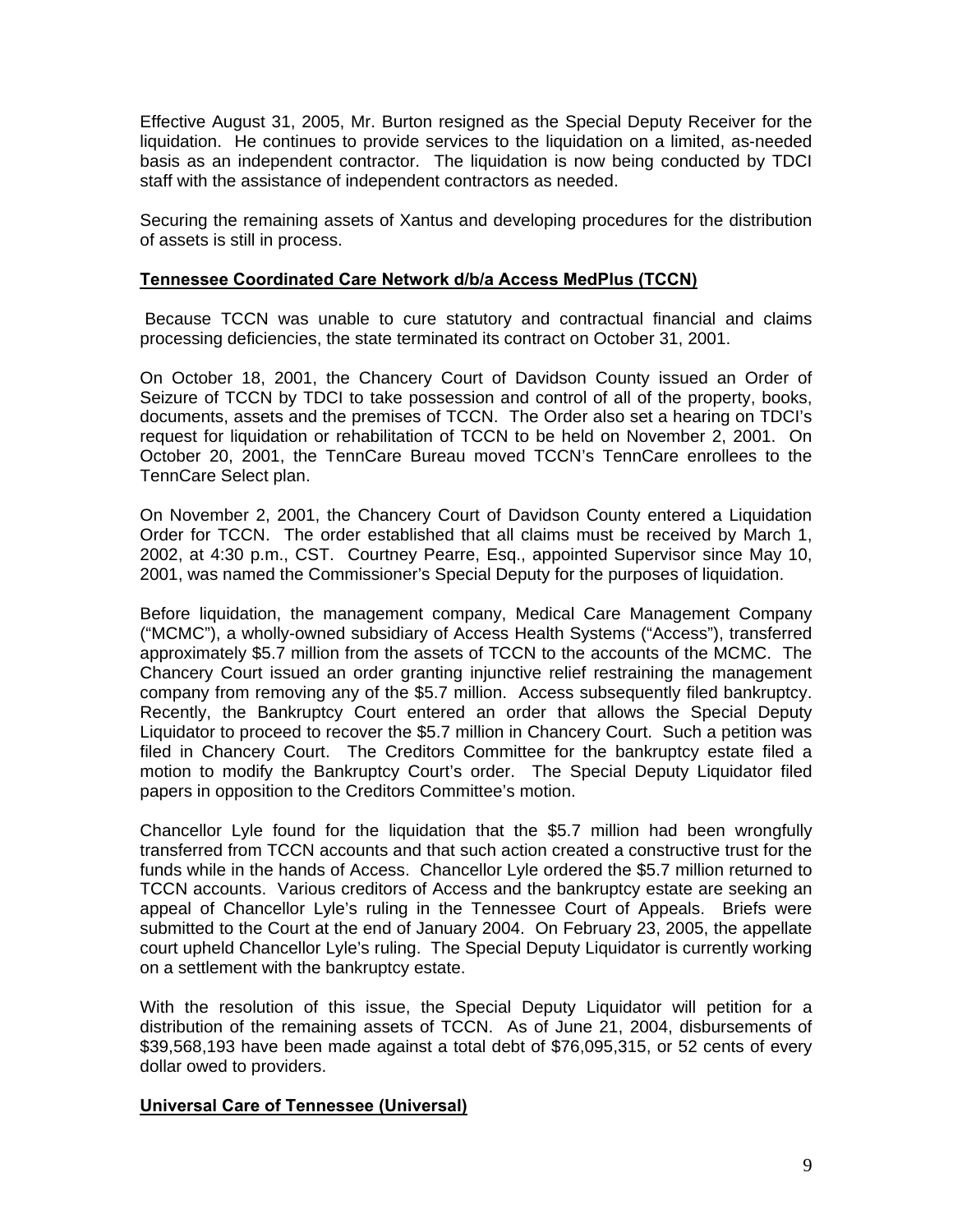Effective August 31, 2005, Mr. Burton resigned as the Special Deputy Receiver for the liquidation. He continues to provide services to the liquidation on a limited, as-needed basis as an independent contractor. The liquidation is now being conducted by TDCI staff with the assistance of independent contractors as needed.

Securing the remaining assets of Xantus and developing procedures for the distribution of assets is still in process.

## **Tennessee Coordinated Care Network d/b/a Access MedPlus (TCCN)**

 Because TCCN was unable to cure statutory and contractual financial and claims processing deficiencies, the state terminated its contract on October 31, 2001.

On October 18, 2001, the Chancery Court of Davidson County issued an Order of Seizure of TCCN by TDCI to take possession and control of all of the property, books, documents, assets and the premises of TCCN. The Order also set a hearing on TDCI's request for liquidation or rehabilitation of TCCN to be held on November 2, 2001. On October 20, 2001, the TennCare Bureau moved TCCN's TennCare enrollees to the TennCare Select plan.

On November 2, 2001, the Chancery Court of Davidson County entered a Liquidation Order for TCCN. The order established that all claims must be received by March 1, 2002, at 4:30 p.m., CST. Courtney Pearre, Esq., appointed Supervisor since May 10, 2001, was named the Commissioner's Special Deputy for the purposes of liquidation.

Before liquidation, the management company, Medical Care Management Company ("MCMC"), a wholly-owned subsidiary of Access Health Systems ("Access"), transferred approximately \$5.7 million from the assets of TCCN to the accounts of the MCMC. The Chancery Court issued an order granting injunctive relief restraining the management company from removing any of the \$5.7 million. Access subsequently filed bankruptcy. Recently, the Bankruptcy Court entered an order that allows the Special Deputy Liquidator to proceed to recover the \$5.7 million in Chancery Court. Such a petition was filed in Chancery Court. The Creditors Committee for the bankruptcy estate filed a motion to modify the Bankruptcy Court's order. The Special Deputy Liquidator filed papers in opposition to the Creditors Committee's motion.

Chancellor Lyle found for the liquidation that the \$5.7 million had been wrongfully transferred from TCCN accounts and that such action created a constructive trust for the funds while in the hands of Access. Chancellor Lyle ordered the \$5.7 million returned to TCCN accounts. Various creditors of Access and the bankruptcy estate are seeking an appeal of Chancellor Lyle's ruling in the Tennessee Court of Appeals. Briefs were submitted to the Court at the end of January 2004. On February 23, 2005, the appellate court upheld Chancellor Lyle's ruling. The Special Deputy Liquidator is currently working on a settlement with the bankruptcy estate.

With the resolution of this issue, the Special Deputy Liquidator will petition for a distribution of the remaining assets of TCCN. As of June 21, 2004, disbursements of \$39,568,193 have been made against a total debt of \$76,095,315, or 52 cents of every dollar owed to providers.

#### **Universal Care of Tennessee (Universal)**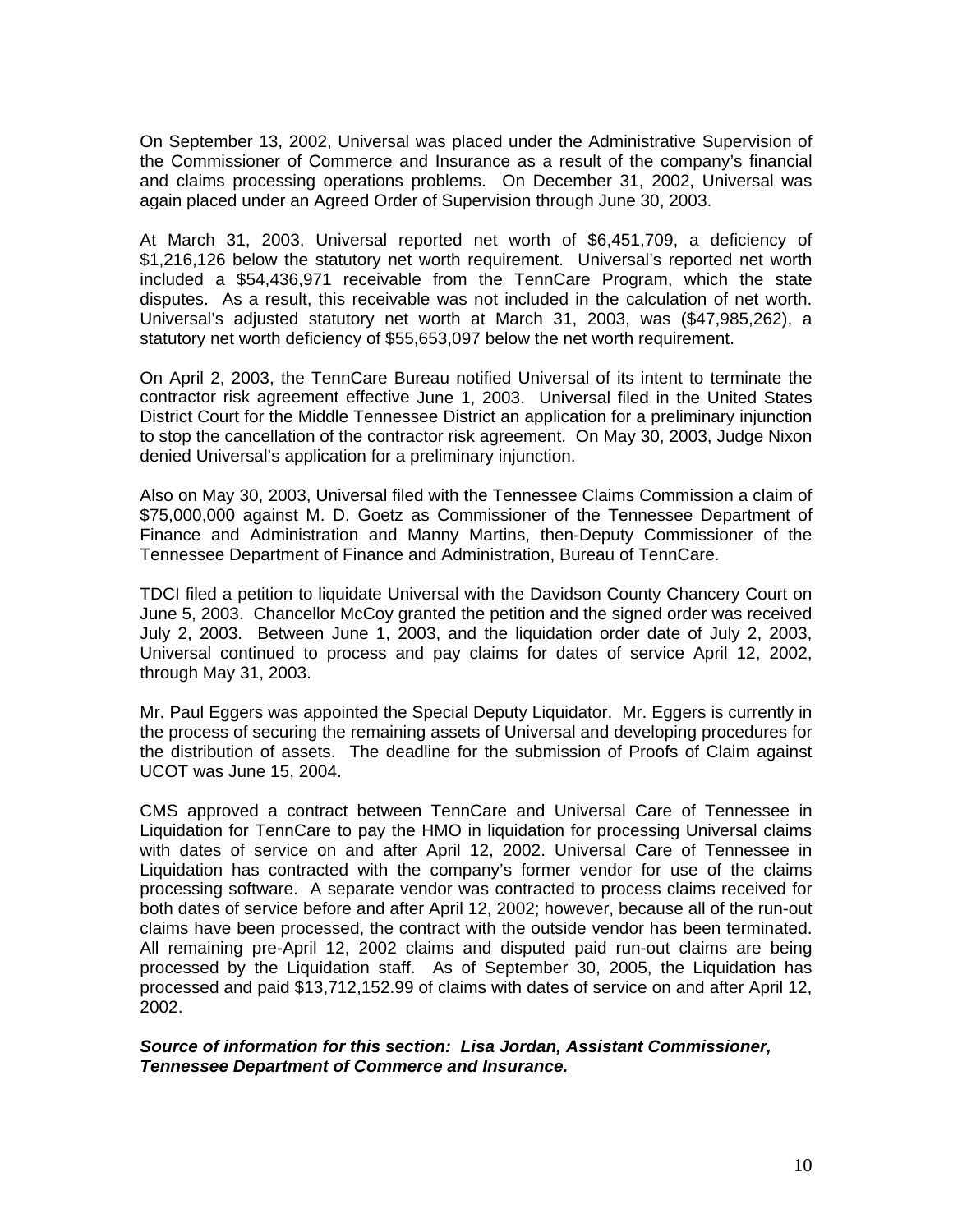On September 13, 2002, Universal was placed under the Administrative Supervision of the Commissioner of Commerce and Insurance as a result of the company's financial and claims processing operations problems. On December 31, 2002, Universal was again placed under an Agreed Order of Supervision through June 30, 2003.

At March 31, 2003, Universal reported net worth of \$6,451,709, a deficiency of \$1,216,126 below the statutory net worth requirement. Universal's reported net worth included a \$54,436,971 receivable from the TennCare Program, which the state disputes. As a result, this receivable was not included in the calculation of net worth. Universal's adjusted statutory net worth at March 31, 2003, was (\$47,985,262), a statutory net worth deficiency of \$55,653,097 below the net worth requirement.

On April 2, 2003, the TennCare Bureau notified Universal of its intent to terminate the contractor risk agreement effective June 1, 2003. Universal filed in the United States District Court for the Middle Tennessee District an application for a preliminary injunction to stop the cancellation of the contractor risk agreement. On May 30, 2003, Judge Nixon denied Universal's application for a preliminary injunction.

Also on May 30, 2003, Universal filed with the Tennessee Claims Commission a claim of \$75,000,000 against M. D. Goetz as Commissioner of the Tennessee Department of Finance and Administration and Manny Martins, then-Deputy Commissioner of the Tennessee Department of Finance and Administration, Bureau of TennCare.

TDCI filed a petition to liquidate Universal with the Davidson County Chancery Court on June 5, 2003. Chancellor McCoy granted the petition and the signed order was received July 2, 2003. Between June 1, 2003, and the liquidation order date of July 2, 2003, Universal continued to process and pay claims for dates of service April 12, 2002, through May 31, 2003.

Mr. Paul Eggers was appointed the Special Deputy Liquidator. Mr. Eggers is currently in the process of securing the remaining assets of Universal and developing procedures for the distribution of assets. The deadline for the submission of Proofs of Claim against UCOT was June 15, 2004.

CMS approved a contract between TennCare and Universal Care of Tennessee in Liquidation for TennCare to pay the HMO in liquidation for processing Universal claims with dates of service on and after April 12, 2002. Universal Care of Tennessee in Liquidation has contracted with the company's former vendor for use of the claims processing software. A separate vendor was contracted to process claims received for both dates of service before and after April 12, 2002; however, because all of the run-out claims have been processed, the contract with the outside vendor has been terminated. All remaining pre-April 12, 2002 claims and disputed paid run-out claims are being processed by the Liquidation staff. As of September 30, 2005, the Liquidation has processed and paid \$13,712,152.99 of claims with dates of service on and after April 12, 2002.

*Source of information for this section: Lisa Jordan, Assistant Commissioner, Tennessee Department of Commerce and Insurance.*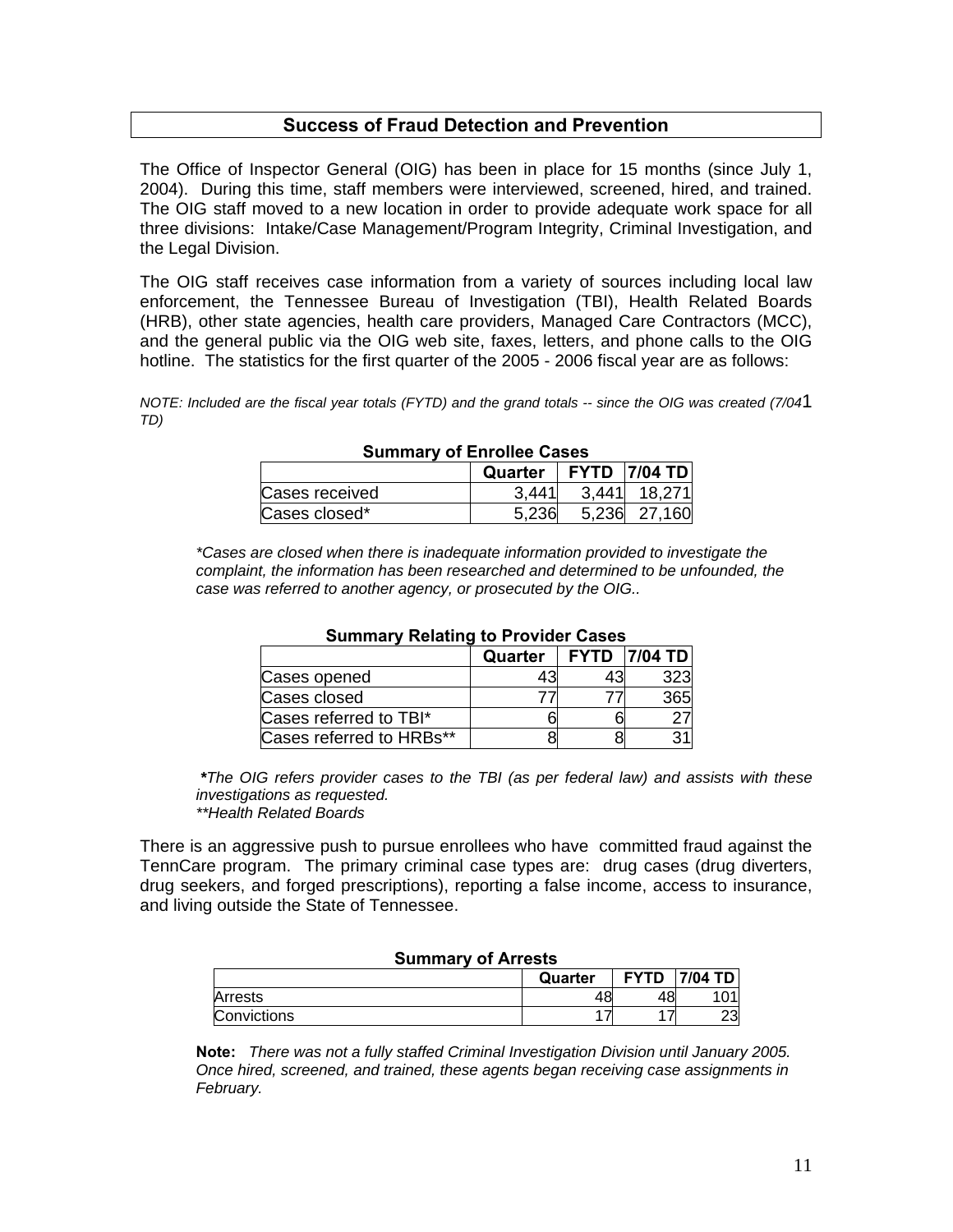## **Success of Fraud Detection and Prevention**

The Office of Inspector General (OIG) has been in place for 15 months (since July 1, 2004). During this time, staff members were interviewed, screened, hired, and trained. The OIG staff moved to a new location in order to provide adequate work space for all three divisions: Intake/Case Management/Program Integrity, Criminal Investigation, and the Legal Division.

The OIG staff receives case information from a variety of sources including local law enforcement, the Tennessee Bureau of Investigation (TBI), Health Related Boards (HRB), other state agencies, health care providers, Managed Care Contractors (MCC), and the general public via the OIG web site, faxes, letters, and phone calls to the OIG hotline. The statistics for the first quarter of the 2005 - 2006 fiscal year are as follows:

*NOTE: Included are the fiscal year totals (FYTD) and the grand totals -- since the OIG was created (7/04*1 *TD)* 

| <b>Pathliary Of Lindles Oases</b> |                          |  |                |
|-----------------------------------|--------------------------|--|----------------|
|                                   | Quarter   FYTD   7/04 TD |  |                |
| Cases received                    | 3.441                    |  | $3,441$ 18,271 |
| Cases closed*                     | 5.236                    |  | 5,236 27,160   |

#### **Summary of Enrollee Cases**

*\*Cases are closed when there is inadequate information provided to investigate the complaint, the information has been researched and determined to be unfounded, the case was referred to another agency, or prosecuted by the OIG..* 

| ----------<br>.<br>.     |         |  |                     |
|--------------------------|---------|--|---------------------|
|                          | Quarter |  | <b>FYTD 7/04 TD</b> |
| Cases opened             |         |  |                     |
| Cases closed             |         |  |                     |
| Cases referred to TBI*   |         |  |                     |
| Cases referred to HRBs** |         |  |                     |

#### **Summary Relating to Provider Cases**

 *\*The OIG refers provider cases to the TBI (as per federal law) and assists with these investigations as requested.* 

 *\*\*Health Related Boards* 

There is an aggressive push to pursue enrollees who have committed fraud against the TennCare program. The primary criminal case types are: drug cases (drug diverters, drug seekers, and forged prescriptions), reporting a false income, access to insurance, and living outside the State of Tennessee.

#### **Summary of Arrests**

|             | Quarter | <b>FYTD</b> | 7/04 TD  |
|-------------|---------|-------------|----------|
| Arrests     |         | 48          | ັ        |
| Convictions |         |             | ററ<br>دے |

**Note:** *There was not a fully staffed Criminal Investigation Division until January 2005. Once hired, screened, and trained, these agents began receiving case assignments in February.*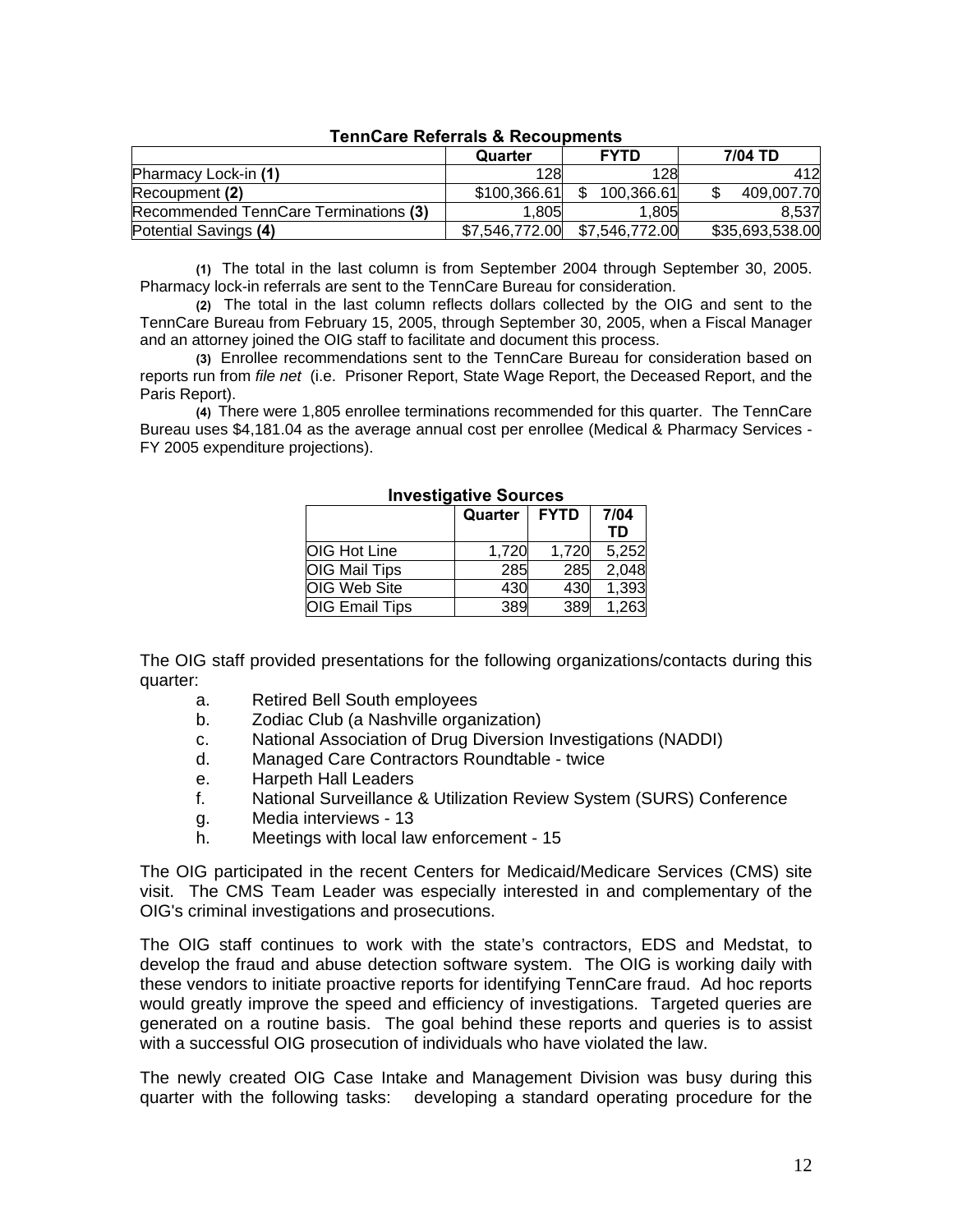| סווווטוונט בא טוטווטווט וועס א        |                |                |                 |
|---------------------------------------|----------------|----------------|-----------------|
|                                       | Quarter        | <b>FYTD</b>    | 7/04 TD         |
| Pharmacy Lock-in (1)                  | 128            | 128            | 412             |
| Recoupment (2)                        | \$100,366.61   | 100,366.61     | 409.007.70      |
| Recommended TennCare Terminations (3) | 1.805          | 1.805          | 8.537           |
| Potential Savings (4)                 | \$7,546,772.00 | \$7,546,772.00 | \$35,693,538.00 |

#### **TennCare Referrals & Recoupments**

**(1)** The total in the last column is from September 2004 through September 30, 2005. Pharmacy lock-in referrals are sent to the TennCare Bureau for consideration.

**(2)** The total in the last column reflects dollars collected by the OIG and sent to the TennCare Bureau from February 15, 2005, through September 30, 2005, when a Fiscal Manager and an attorney joined the OIG staff to facilitate and document this process.

**(3)** Enrollee recommendations sent to the TennCare Bureau for consideration based on reports run from *file net* (i.e. Prisoner Report, State Wage Report, the Deceased Report, and the Paris Report).

**(4)** There were 1,805 enrollee terminations recommended for this quarter. The TennCare Bureau uses \$4,181.04 as the average annual cost per enrollee (Medical & Pharmacy Services - FY 2005 expenditure projections).

|                       | Quarter | <b>FYTD</b> | 7/04  |
|-----------------------|---------|-------------|-------|
|                       |         |             | TD    |
| <b>OIG Hot Line</b>   | 1,720   | 1,720       | 5,252 |
| <b>OIG Mail Tips</b>  | 285     | 285         | 2,048 |
| <b>OIG Web Site</b>   | 430     | 430         | 1,393 |
| <b>OIG Email Tips</b> | 389     | 389         | 1,263 |

#### **Investigative Sources**

The OIG staff provided presentations for the following organizations/contacts during this quarter:

- a. Retired Bell South employees
- b. Zodiac Club (a Nashville organization)
- c. National Association of Drug Diversion Investigations (NADDI)
- d. Managed Care Contractors Roundtable twice
- e. Harpeth Hall Leaders
- f. National Surveillance & Utilization Review System (SURS) Conference
- g. Media interviews 13
- h. Meetings with local law enforcement 15

The OIG participated in the recent Centers for Medicaid/Medicare Services (CMS) site visit. The CMS Team Leader was especially interested in and complementary of the OIG's criminal investigations and prosecutions.

The OIG staff continues to work with the state's contractors, EDS and Medstat, to develop the fraud and abuse detection software system. The OIG is working daily with these vendors to initiate proactive reports for identifying TennCare fraud. Ad hoc reports would greatly improve the speed and efficiency of investigations. Targeted queries are generated on a routine basis. The goal behind these reports and queries is to assist with a successful OIG prosecution of individuals who have violated the law.

The newly created OIG Case Intake and Management Division was busy during this quarter with the following tasks: developing a standard operating procedure for the